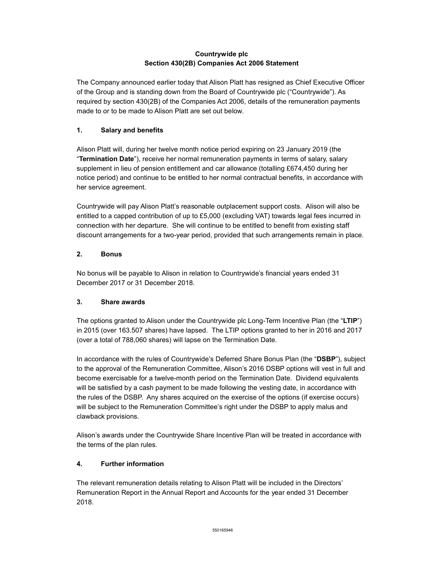### **Countrywide plc Section 430(2B) Companies Act 2006 Statement**

The Company announced earlier today that Alison Platt has resigned as Chief Executive Officer of the Group and is standing down from the Board of Countrywide plc ("Countrywide"). As required by section 430(2B) of the Companies Act 2006, details of the remuneration payments made to or to be made to Alison Platt are set out below.

### **1. Salary and benefits**

Alison Platt will, during her twelve month notice period expiring on 23 January 2019 (the "**Termination Date**"), receive her normal remuneration payments in terms of salary, salary supplement in lieu of pension entitlement and car allowance (totalling £674,450 during her notice period) and continue to be entitled to her normal contractual benefits, in accordance with her service agreement.

Countrywide will pay Alison Platt's reasonable outplacement support costs. Alison will also be entitled to a capped contribution of up to £5,000 (excluding VAT) towards legal fees incurred in connection with her departure. She will continue to be entitled to benefit from existing staff discount arrangements for a two-year period, provided that such arrangements remain in place.

### **2. Bonus**

No bonus will be payable to Alison in relation to Countrywide's financial years ended 31 December 2017 or 31 December 2018.

# **3. Share awards**

The options granted to Alison under the Countrywide plc Long-Term Incentive Plan (the "**LTIP**") in 2015 (over 163.507 shares) have lapsed. The LTIP options granted to her in 2016 and 2017 (over a total of 788,060 shares) will lapse on the Termination Date.

In accordance with the rules of Countrywide's Deferred Share Bonus Plan (the "**DSBP**"), subject to the approval of the Remuneration Committee, Alison's 2016 DSBP options will vest in full and become exercisable for a twelve-month period on the Termination Date. Dividend equivalents will be satisfied by a cash payment to be made following the vesting date, in accordance with the rules of the DSBP. Any shares acquired on the exercise of the options (if exercise occurs) will be subject to the Remuneration Committee's right under the DSBP to apply malus and clawback provisions.

Alison's awards under the Countrywide Share Incentive Plan will be treated in accordance with the terms of the plan rules.

# **4. Further information**

The relevant remuneration details relating to Alison Platt will be included in the Directors' Remuneration Report in the Annual Report and Accounts for the year ended 31 December 2018.